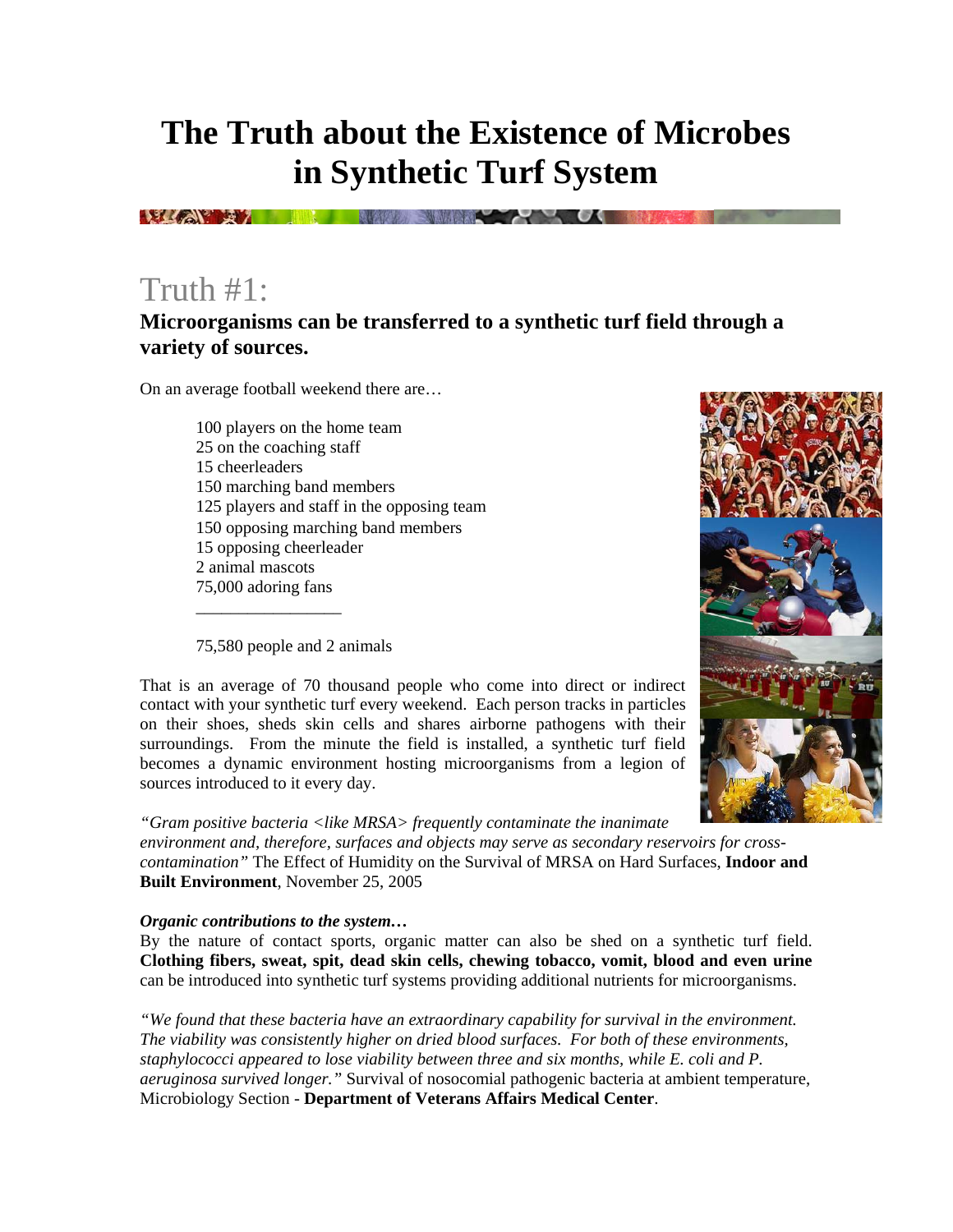# **The Truth about the Existence of Microbes in Synthetic Turf System**

**ELIZATE TELEVISION DE L'ANNE DE L'ANNE DE L'ANNE DE L'ANNE DE L'ANNE DE L'ANNE DE L'ANNE DE L'ANNE DE L'ANNE** 

### Truth #1:

### **Microorganisms can be transferred to a synthetic turf field through a variety of sources.**

On an average football weekend there are…

100 players on the home team 25 on the coaching staff 15 cheerleaders 150 marching band members 125 players and staff in the opposing team 150 opposing marching band members 15 opposing cheerleader 2 animal mascots 75,000 adoring fans \_\_\_\_\_\_\_\_\_\_\_\_\_\_\_\_\_

75,580 people and 2 animals



That is an average of 70 thousand people who come into direct or indirect contact with your synthetic turf every weekend. Each person tracks in particles on their shoes, sheds skin cells and shares airborne pathogens with their surroundings. From the minute the field is installed, a synthetic turf field becomes a dynamic environment hosting microorganisms from a legion of sources introduced to it every day.

*"Gram positive bacteria <like MRSA> frequently contaminate the inanimate environment and, therefore, surfaces and objects may serve as secondary reservoirs for crosscontamination"* The Effect of Humidity on the Survival of MRSA on Hard Surfaces, **Indoor and Built Environment**, November 25, 2005

#### *Organic contributions to the system…*

By the nature of contact sports, organic matter can also be shed on a synthetic turf field. **Clothing fibers, sweat, spit, dead skin cells, chewing tobacco, vomit, blood and even urine** can be introduced into synthetic turf systems providing additional nutrients for microorganisms.

*"We found that these bacteria have an extraordinary capability for survival in the environment. The viability was consistently higher on dried blood surfaces. For both of these environments, staphylococci appeared to lose viability between three and six months, while E. coli and P. aeruginosa survived longer."* Survival of nosocomial pathogenic bacteria at ambient temperature, Microbiology Section - **Department of Veterans Affairs Medical Center**.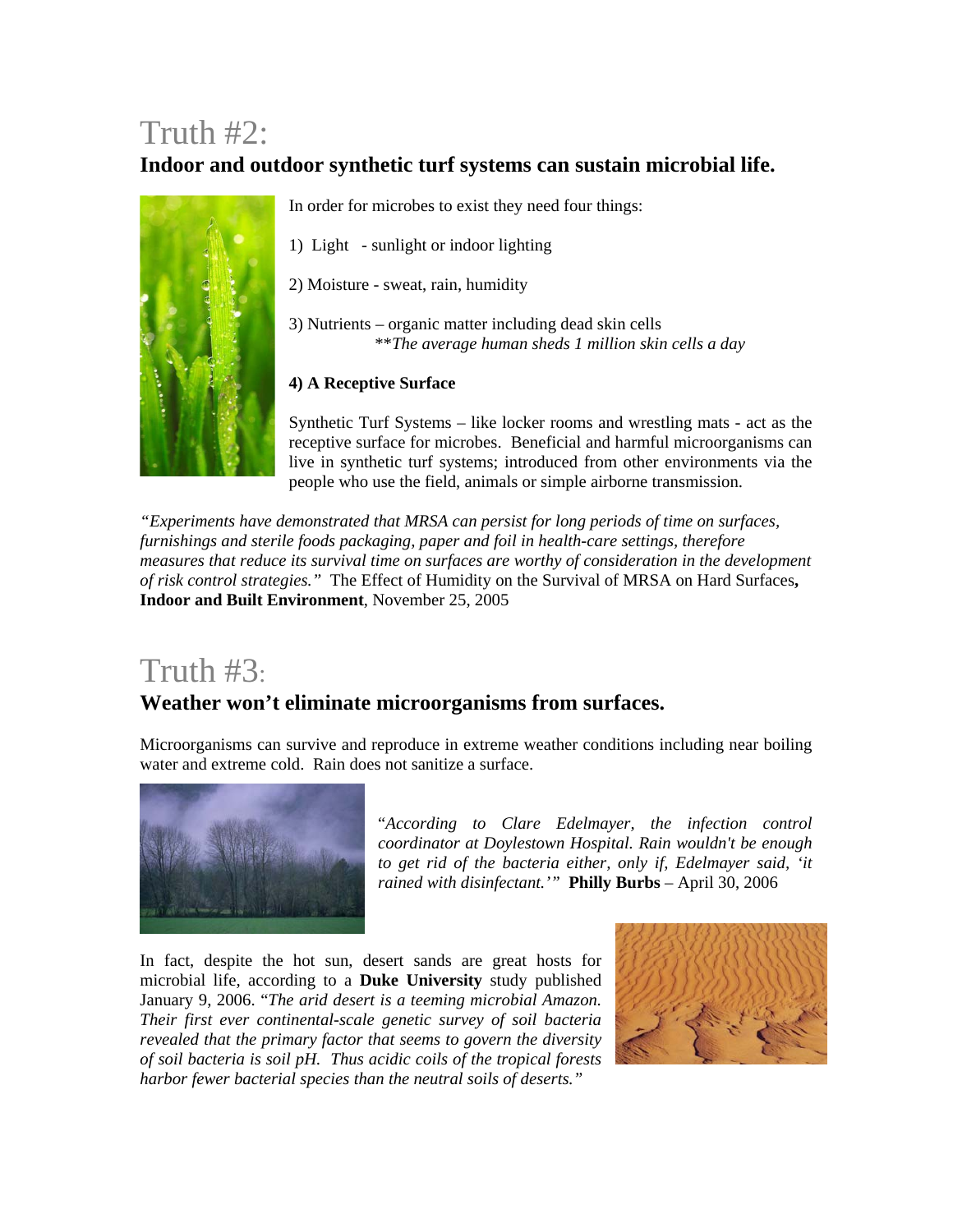## Truth #2:

### **Indoor and outdoor synthetic turf systems can sustain microbial life.**



In order for microbes to exist they need four things:

1) Light - sunlight or indoor lighting

- 2) Moisture sweat, rain, humidity
- 3) Nutrients organic matter including dead skin cells \*\**The average human sheds 1 million skin cells a day*

#### **4) A Receptive Surface**

Synthetic Turf Systems – like locker rooms and wrestling mats - act as the receptive surface for microbes. Beneficial and harmful microorganisms can live in synthetic turf systems; introduced from other environments via the people who use the field, animals or simple airborne transmission.

*"Experiments have demonstrated that MRSA can persist for long periods of time on surfaces, furnishings and sterile foods packaging, paper and foil in health-care settings, therefore measures that reduce its survival time on surfaces are worthy of consideration in the development of risk control strategies."* The Effect of Humidity on the Survival of MRSA on Hard Surfaces**, Indoor and Built Environment**, November 25, 2005

## Truth #3:

#### **Weather won't eliminate microorganisms from surfaces.**

Microorganisms can survive and reproduce in extreme weather conditions including near boiling water and extreme cold. Rain does not sanitize a surface.



"*According to Clare Edelmayer, the infection control coordinator at Doylestown Hospital. Rain wouldn't be enough to get rid of the bacteria either, only if, Edelmayer said, 'it rained with disinfectant.'"* **Philly Burbs** – April 30, 2006

In fact, despite the hot sun, desert sands are great hosts for microbial life, according to a **Duke University** study published January 9, 2006. "*The arid desert is a teeming microbial Amazon. Their first ever continental-scale genetic survey of soil bacteria revealed that the primary factor that seems to govern the diversity of soil bacteria is soil pH. Thus acidic coils of the tropical forests harbor fewer bacterial species than the neutral soils of deserts."*

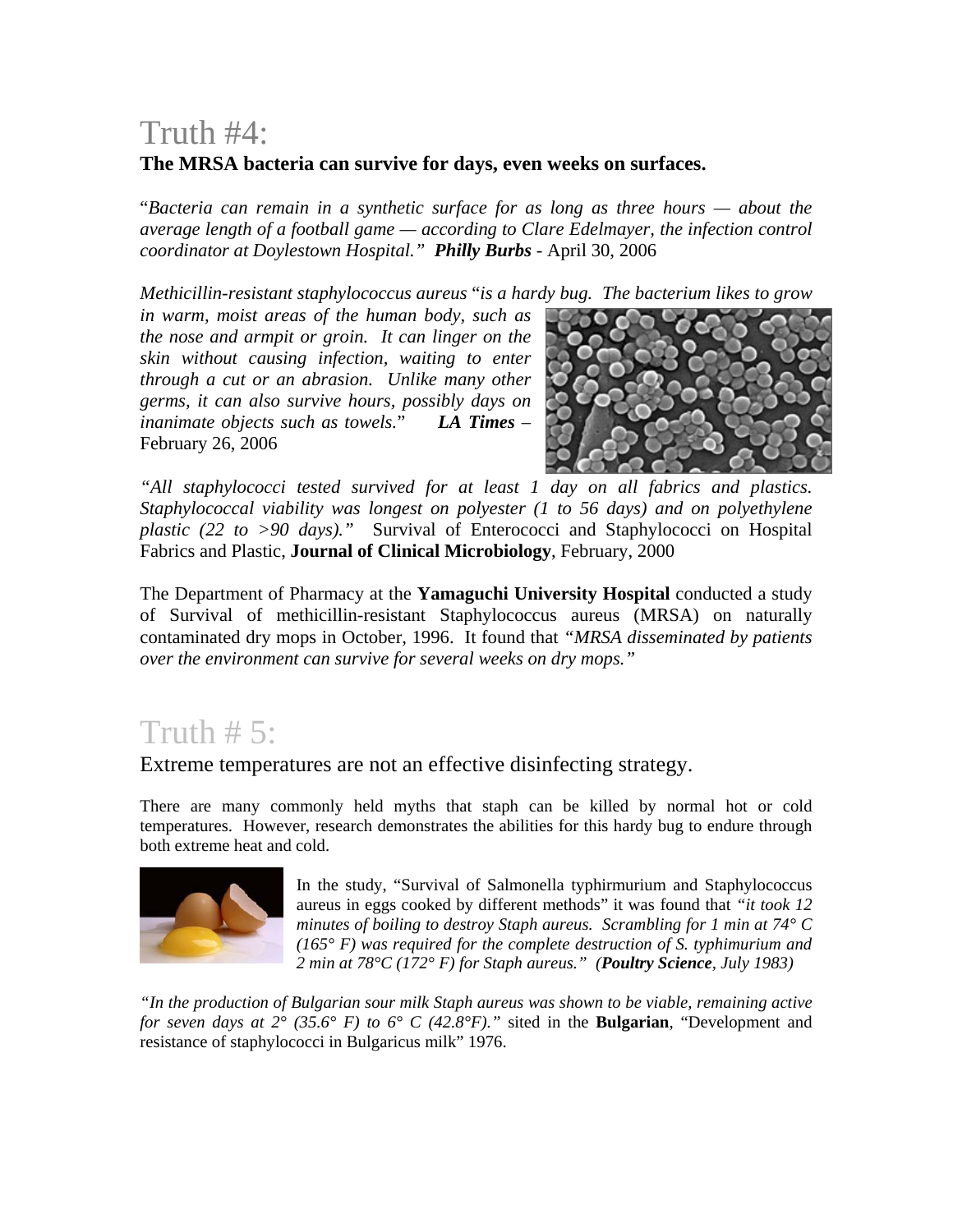## Truth #4:

#### **The MRSA bacteria can survive for days, even weeks on surfaces.**

"*Bacteria can remain in a synthetic surface for as long as three hours — about the average length of a football game — according to Clare Edelmayer, the infection control coordinator at Doylestown Hospital." Philly Burbs* - April 30, 2006

*Methicillin-resistant staphylococcus aureus* "*is a hardy bug. The bacterium likes to grow* 

*in warm, moist areas of the human body, such as the nose and armpit or groin. It can linger on the skin without causing infection, waiting to enter through a cut or an abrasion. Unlike many other germs, it can also survive hours, possibly days on inanimate objects such as towels.*" *LA Times* – February 26, 2006



*"All staphylococci tested survived for at least 1 day on all fabrics and plastics. Staphylococcal viability was longest on polyester (1 to 56 days) and on polyethylene plastic (22 to >90 days)."* Survival of Enterococci and Staphylococci on Hospital Fabrics and Plastic, **Journal of Clinical Microbiology**, February, 2000

The Department of Pharmacy at the **Yamaguchi University Hospital** conducted a study of Survival of methicillin-resistant Staphylococcus aureus (MRSA) on naturally contaminated dry mops in October, 1996. It found that *"MRSA disseminated by patients over the environment can survive for several weeks on dry mops."* 

## Truth  $# 5$ :

Extreme temperatures are not an effective disinfecting strategy.

There are many commonly held myths that staph can be killed by normal hot or cold temperatures. However, research demonstrates the abilities for this hardy bug to endure through both extreme heat and cold.



In the study, "Survival of Salmonella typhirmurium and Staphylococcus aureus in eggs cooked by different methods" it was found that *"it took 12 minutes of boiling to destroy Staph aureus. Scrambling for 1 min at 74° C (165° F) was required for the complete destruction of S. typhimurium and 2 min at 78°C (172° F) for Staph aureus." (Poultry Science, July 1983)* 

*"In the production of Bulgarian sour milk Staph aureus was shown to be viable, remaining active for seven days at 2° (35.6° F) to 6° C (42.8°F)."* sited in the **Bulgarian**, "Development and resistance of staphylococci in Bulgaricus milk" 1976.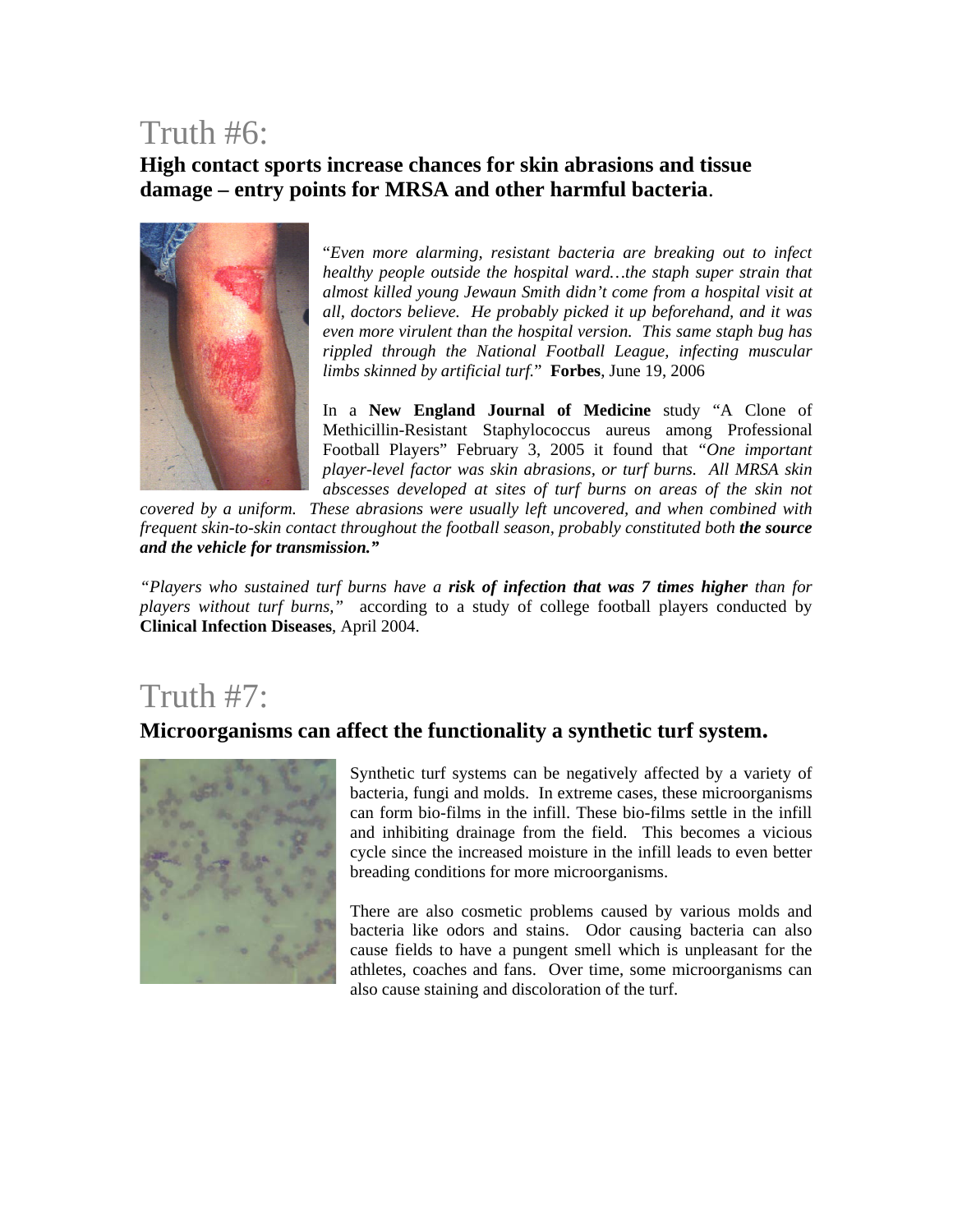### Truth #6:

**High contact sports increase chances for skin abrasions and tissue damage – entry points for MRSA and other harmful bacteria**.



"*Even more alarming, resistant bacteria are breaking out to infect healthy people outside the hospital ward…the staph super strain that almost killed young Jewaun Smith didn't come from a hospital visit at all, doctors believe. He probably picked it up beforehand, and it was even more virulent than the hospital version. This same staph bug has rippled through the National Football League, infecting muscular limbs skinned by artificial turf.*" **Forbes**, June 19, 2006

In a **New England Journal of Medicine** study "A Clone of Methicillin-Resistant Staphylococcus aureus among Professional Football Players" February 3, 2005 it found that *"One important player-level factor was skin abrasions, or turf burns. All MRSA skin abscesses developed at sites of turf burns on areas of the skin not* 

*covered by a uniform. These abrasions were usually left uncovered, and when combined with frequent skin-to-skin contact throughout the football season, probably constituted both the source and the vehicle for transmission."*

*"Players who sustained turf burns have a risk of infection that was 7 times higher than for players without turf burns,"* according to a study of college football players conducted by **Clinical Infection Diseases**, April 2004.

### Truth #7:

#### **Microorganisms can affect the functionality a synthetic turf system.**



Synthetic turf systems can be negatively affected by a variety of bacteria, fungi and molds. In extreme cases, these microorganisms can form bio-films in the infill. These bio-films settle in the infill and inhibiting drainage from the field. This becomes a vicious cycle since the increased moisture in the infill leads to even better breading conditions for more microorganisms.

There are also cosmetic problems caused by various molds and bacteria like odors and stains. Odor causing bacteria can also cause fields to have a pungent smell which is unpleasant for the athletes, coaches and fans. Over time, some microorganisms can also cause staining and discoloration of the turf.